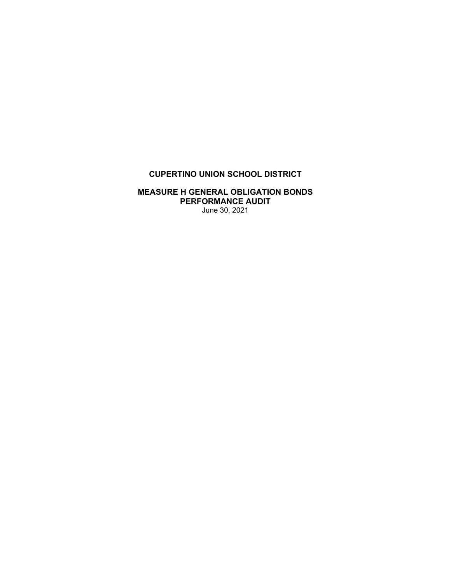# **CUPERTINO UNION SCHOOL DISTRICT**

## **MEASURE H GENERAL OBLIGATION BONDS PERFORMANCE AUDIT**  June 30, 2021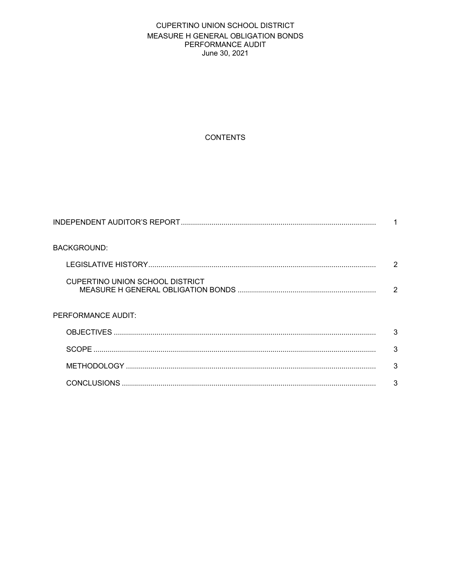# CUPERTINO UNION SCHOOL DISTRICT MEASURE H GENERAL OBLIGATION BONDS PERFORMANCE AUDIT June 30, 2021

# **CONTENTS**

| <b>BACKGROUND:</b>              |   |
|---------------------------------|---|
|                                 | 2 |
| CUPERTINO UNION SCHOOL DISTRICT | 2 |
| PERFORMANCE AUDIT:              |   |
|                                 | 3 |
|                                 | 3 |
|                                 | 3 |
|                                 | 3 |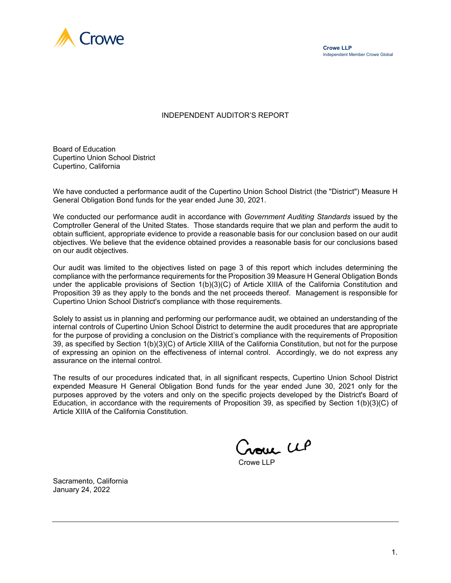

#### INDEPENDENT AUDITOR'S REPORT

Board of Education Cupertino Union School District Cupertino, California

We have conducted a performance audit of the Cupertino Union School District (the "District") Measure H General Obligation Bond funds for the year ended June 30, 2021.

We conducted our performance audit in accordance with *Government Auditing Standards* issued by the Comptroller General of the United States. Those standards require that we plan and perform the audit to obtain sufficient, appropriate evidence to provide a reasonable basis for our conclusion based on our audit objectives. We believe that the evidence obtained provides a reasonable basis for our conclusions based on our audit objectives.

Our audit was limited to the objectives listed on page 3 of this report which includes determining the compliance with the performance requirements for the Proposition 39 Measure H General Obligation Bonds under the applicable provisions of Section 1(b)(3)(C) of Article XIIIA of the California Constitution and Proposition 39 as they apply to the bonds and the net proceeds thereof. Management is responsible for Cupertino Union School District's compliance with those requirements.

Solely to assist us in planning and performing our performance audit, we obtained an understanding of the internal controls of Cupertino Union School District to determine the audit procedures that are appropriate for the purpose of providing a conclusion on the District's compliance with the requirements of Proposition 39, as specified by Section 1(b)(3)(C) of Article XIIIA of the California Constitution, but not for the purpose of expressing an opinion on the effectiveness of internal control. Accordingly, we do not express any assurance on the internal control.

The results of our procedures indicated that, in all significant respects, Cupertino Union School District expended Measure H General Obligation Bond funds for the year ended June 30, 2021 only for the purposes approved by the voters and only on the specific projects developed by the District's Board of Education, in accordance with the requirements of Proposition 39, as specified by Section 1(b)(3)(C) of Article XIIIA of the California Constitution.

Croue LLP

Crowe LLP

Sacramento, California January 24, 2022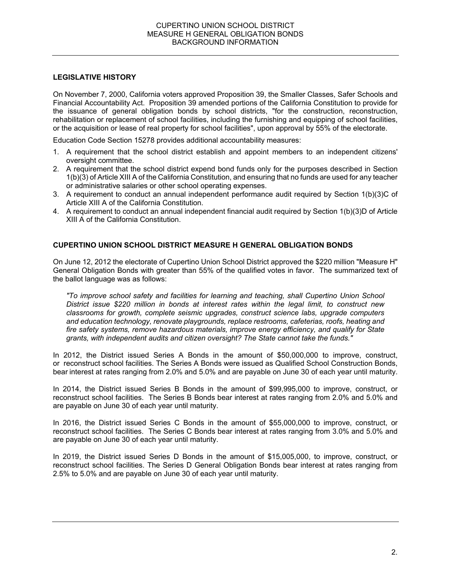## **LEGISLATIVE HISTORY**

On November 7, 2000, California voters approved Proposition 39, the Smaller Classes, Safer Schools and Financial Accountability Act. Proposition 39 amended portions of the California Constitution to provide for the issuance of general obligation bonds by school districts, "for the construction, reconstruction, rehabilitation or replacement of school facilities, including the furnishing and equipping of school facilities, or the acquisition or lease of real property for school facilities", upon approval by 55% of the electorate.

Education Code Section 15278 provides additional accountability measures:

- 1. A requirement that the school district establish and appoint members to an independent citizens' oversight committee.
- 2. A requirement that the school district expend bond funds only for the purposes described in Section 1(b)(3) of Article XIII A of the California Constitution, and ensuring that no funds are used for any teacher or administrative salaries or other school operating expenses.
- 3. A requirement to conduct an annual independent performance audit required by Section 1(b)(3)C of Article XIII A of the California Constitution.
- 4. A requirement to conduct an annual independent financial audit required by Section 1(b)(3)D of Article XIII A of the California Constitution.

## **CUPERTINO UNION SCHOOL DISTRICT MEASURE H GENERAL OBLIGATION BONDS**

On June 12, 2012 the electorate of Cupertino Union School District approved the \$220 million "Measure H" General Obligation Bonds with greater than 55% of the qualified votes in favor. The summarized text of the ballot language was as follows:

*"To improve school safety and facilities for learning and teaching, shall Cupertino Union School District issue \$220 million in bonds at interest rates within the legal limit, to construct new classrooms for growth, complete seismic upgrades, construct science labs, upgrade computers and education technology, renovate playgrounds, replace restrooms, cafeterias, roofs, heating and fire safety systems, remove hazardous materials, improve energy efficiency, and qualify for State grants, with independent audits and citizen oversight? The State cannot take the funds."* 

In 2012, the District issued Series A Bonds in the amount of \$50,000,000 to improve, construct, or reconstruct school facilities. The Series A Bonds were issued as Qualified School Construction Bonds, bear interest at rates ranging from 2.0% and 5.0% and are payable on June 30 of each year until maturity.

In 2014, the District issued Series B Bonds in the amount of \$99,995,000 to improve, construct, or reconstruct school facilities. The Series B Bonds bear interest at rates ranging from 2.0% and 5.0% and are payable on June 30 of each year until maturity.

In 2016, the District issued Series C Bonds in the amount of \$55,000,000 to improve, construct, or reconstruct school facilities. The Series C Bonds bear interest at rates ranging from 3.0% and 5.0% and are payable on June 30 of each year until maturity.

In 2019, the District issued Series D Bonds in the amount of \$15,005,000, to improve, construct, or reconstruct school facilities. The Series D General Obligation Bonds bear interest at rates ranging from 2.5% to 5.0% and are payable on June 30 of each year until maturity.